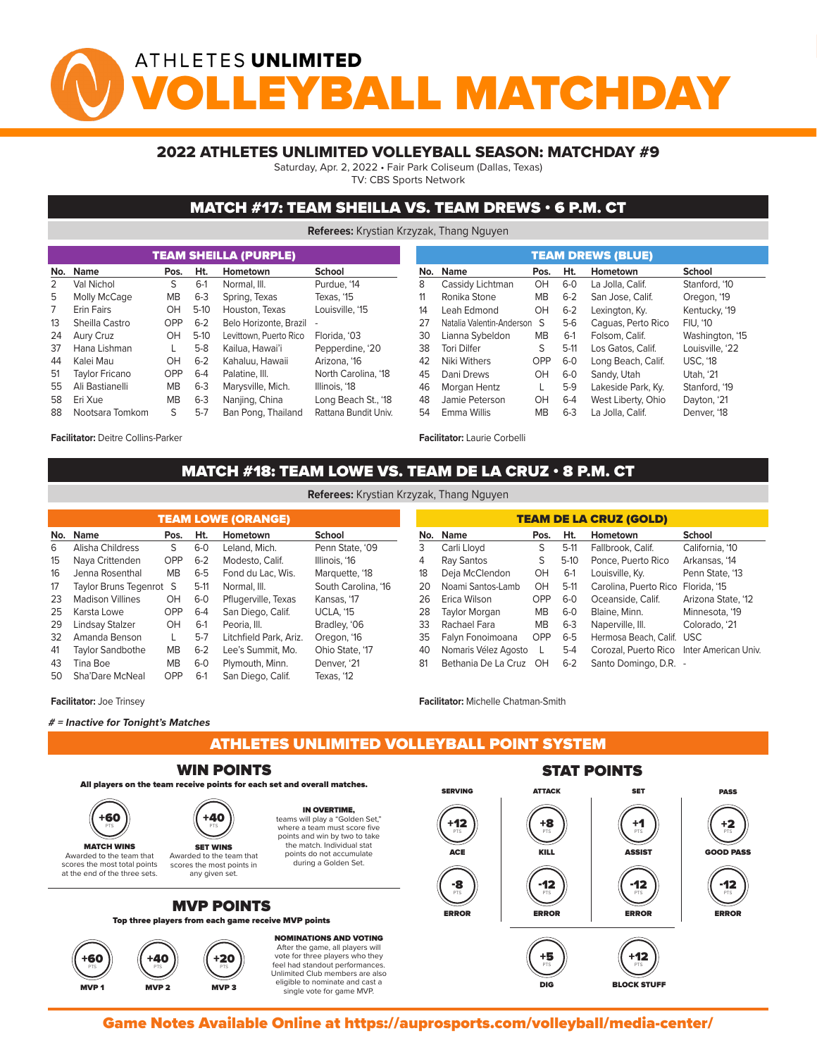# ATHLETES UNLIMITED YBALL MATCHDA

### 2022 ATHLETES UNLIMITED VOLLEYBALL SEASON: MATCHDAY #9

Saturday, Apr. 2, 2022 • Fair Park Coliseum (Dallas, Texas)

TV: CBS Sports Network

### MATCH #17: TEAM SHEILLA VS. TEAM DREWS • 6 P.M. CT

**Referees:** Krystian Krzyzak, Thang Nguyen

|    |                       |            |         | <b>TEAM SHEILLA (PURPLE)</b> |                      |     | <b>TEAM DREWS (BLUE)</b>  |  |            |         |                    |                 |                 |  |  |
|----|-----------------------|------------|---------|------------------------------|----------------------|-----|---------------------------|--|------------|---------|--------------------|-----------------|-----------------|--|--|
|    | Name<br>No.           | Pos.       | Ht.     | Hometown                     | School               | No. | <b>Name</b>               |  | Pos.       | Ht.     | Hometown           | School          |                 |  |  |
|    | Val Nichol            | S          | $6-1$   | Normal, III.                 | Purdue, '14          | 8   | Cassidy Lichtman          |  | OH         | $6 - 0$ | La Jolla, Calif.   | Stanford. '10   |                 |  |  |
| 5  | Molly McCage          | <b>MB</b>  | $6 - 3$ | Spring, Texas                | Texas, '15           | 11  | Ronika Stone              |  | <b>MB</b>  | $6 - 2$ | San Jose, Calif.   | Oregon, '19     |                 |  |  |
|    | <b>Erin Fairs</b>     | OH         | $5-10$  | Houston, Texas               | Louisville, '15      | 14  | Leah Edmond               |  | OH         | $6 - 2$ | Lexington, Ky.     |                 | Kentucky, '19   |  |  |
| 13 | Sheilla Castro        | <b>OPP</b> | $6 - 2$ | Belo Horizonte, Brazil -     |                      | 27  | Natalia Valentin-Anderson |  | S          | $5-6$   | Caguas, Perto Rico | <b>FIU, '10</b> |                 |  |  |
| 24 | Aury Cruz             | OH         | $5-10$  | Levittown, Puerto Rico       | Florida, '03         | 30  | Lianna Sybeldon           |  | <b>MB</b>  | $6-1$   | Folsom, Calif.     |                 | Washington, '15 |  |  |
| 37 | Hana Lishman          |            | $5-8$   | Kailua, Hawai'i              | Pepperdine, '20      | 38  | <b>Tori Dilfer</b>        |  | S          | $5-11$  | Los Gatos, Calif.  |                 | Louisville. '22 |  |  |
| 44 | Kalei Mau             | OH         | $6 - 2$ | Kahaluu, Hawaii              | Arizona, '16         | 42  | Niki Withers              |  | <b>OPP</b> | $6-0$   | Long Beach, Calif. | <b>USC. '18</b> |                 |  |  |
| 51 | <b>Taylor Fricano</b> | <b>OPP</b> | $6 - 4$ | Palatine, III.               | North Carolina, '18  | 45  | Dani Drews                |  | OH         | $6-0$   | Sandy, Utah        | Utah. '21       |                 |  |  |
| 55 | Ali Bastianelli       | <b>MB</b>  | $6 - 3$ | Marysville, Mich.            | Illinois, '18        | 46  | Morgan Hentz              |  |            | $5-9$   | Lakeside Park, Ky. | Stanford, '19   |                 |  |  |
| 58 | Eri Xue               | <b>MB</b>  | $6 - 3$ | Nanjing, China               | Long Beach St., '18  | 48  | Jamie Peterson            |  | OH         | $6 - 4$ | West Liberty, Ohio | Dayton, '21     |                 |  |  |
| 88 | Nootsara Tomkom       | S          | $5-7$   | Ban Pong, Thailand           | Rattana Bundit Univ. | 54  | Emma Willis               |  | <b>MB</b>  | $6 - 3$ | La Jolla, Calif.   | Denver, '18     |                 |  |  |
|    |                       |            |         |                              |                      |     |                           |  |            |         |                    |                 |                 |  |  |

**Facilitator:** Deitre Collins-Parker

## MATCH #18: TEAM LOWE VS. TEAM DE LA CRUZ • 8 P.M. CT<br>The Point System (2008)

**Facilitator:** Laurie Corbelli

| <b>TEAM LOWE (ORANGE)</b>     |                         |           |         |                        |                     |  |  |  |  |  |  |  |
|-------------------------------|-------------------------|-----------|---------|------------------------|---------------------|--|--|--|--|--|--|--|
| No.                           | <b>Name</b>             | Pos.      | Ht.     | Hometown               | <b>School</b>       |  |  |  |  |  |  |  |
| 6                             | Alisha Childress        | S         | $6-0$   | Leland, Mich.          | Penn State, '09     |  |  |  |  |  |  |  |
| 15                            | Naya Crittenden         | OPP       | $6 - 2$ | Modesto, Calif.        | Illinois, '16       |  |  |  |  |  |  |  |
| 16                            | Jenna Rosenthal         | <b>MB</b> | $6 - 5$ | Fond du Lac. Wis.      | Marquette, '18      |  |  |  |  |  |  |  |
| 17<br>Taylor Bruns Tegenrot S |                         |           |         | Normal, III.           | South Carolina, '16 |  |  |  |  |  |  |  |
| 23                            | <b>Madison Villines</b> | OH        | $6-0$   | Pflugerville, Texas    | Kansas, '17         |  |  |  |  |  |  |  |
| 25                            | Karsta Lowe             | OPP       | $6-4$   | San Diego, Calif.      | <b>UCLA. '15</b>    |  |  |  |  |  |  |  |
| 29                            | Lindsay Stalzer         | OH        | $6-1$   | Peoria, III.           | Bradley, '06        |  |  |  |  |  |  |  |
| 32                            | Amanda Benson           |           | $5-7$   | Litchfield Park, Ariz. | Oregon, '16         |  |  |  |  |  |  |  |
| 41                            | Taylor Sandbothe        | <b>MB</b> | $6 - 2$ | Lee's Summit, Mo.      | Ohio State, '17     |  |  |  |  |  |  |  |
| 43                            | Tina Boe                | <b>MB</b> | $6-0$   | Plymouth, Minn.        | Denver, '21         |  |  |  |  |  |  |  |
| 50                            | Sha'Dare McNeal         | OPP       | $6-1$   | San Diego, Calif.      | Texas. '12          |  |  |  |  |  |  |  |

| <b>TEAM DE LA CRUZ (GOLD)</b> |                      |           |         |                                           |                    |  |  |  |  |  |  |  |  |
|-------------------------------|----------------------|-----------|---------|-------------------------------------------|--------------------|--|--|--|--|--|--|--|--|
| No.                           | <b>Name</b>          | Pos.      | Ht.     | Hometown                                  | School             |  |  |  |  |  |  |  |  |
| 3                             | Carli Lloyd          | S         | $5-11$  | Fallbrook, Calif.                         | California, '10    |  |  |  |  |  |  |  |  |
| 4                             | Ray Santos           | S         | $5-10$  | Ponce, Puerto Rico                        | Arkansas, '14      |  |  |  |  |  |  |  |  |
| 18                            | Deja McClendon       | OH        | $6-1$   | Louisville, Ky.                           | Penn State, '13    |  |  |  |  |  |  |  |  |
| 20                            | Noami Santos-Lamb    | OH        | $5-11$  | Carolina, Puerto Rico                     | Florida, '15       |  |  |  |  |  |  |  |  |
| 26                            | Erica Wilson         | OPP       | $6-0$   | Oceanside, Calif.                         | Arizona State, '12 |  |  |  |  |  |  |  |  |
| 28                            | <b>Taylor Morgan</b> | <b>MB</b> | $6-0$   | Blaine, Minn.                             | Minnesota, '19     |  |  |  |  |  |  |  |  |
| 33                            | Rachael Fara         | <b>MB</b> | $6 - 3$ | Naperville, III.                          | Colorado, '21      |  |  |  |  |  |  |  |  |
| 35                            | Falyn Fonoimoana     | OPP       | $6 - 5$ | Hermosa Beach, Calif.                     | <b>USC</b>         |  |  |  |  |  |  |  |  |
| 40                            | Nomaris Vélez Agosto | <b>L</b>  | $5 - 4$ | Corozal, Puerto Rico Inter American Univ. |                    |  |  |  |  |  |  |  |  |
| 81                            | Bethania De La Cruz  | ЮH        | $6 - 2$ | Santo Domingo, D.R. -                     |                    |  |  |  |  |  |  |  |  |

single vote for game MVP.

**Facilitator:** Michelle Chatman-Smith

MVP 2 MVP 2 MVP 3 MVP 3 MVP 3 MVP 3 MVP 3 MVP 3 MVP 3 MVP 3 MVP 3 MVP 3 MVP 3 MVP 3 MVP 3 MVP 3 MVP 3 MVP 3 MV

### **# = Inactive for Tonight's Matches**

**Facilitator:** Joe Trinsey

ATHLETES UNLIMITED VOLLEYBALL POINT SYSTEM

#### WIN POINTS



Game Notes Available Online at https://auprosports.com/volleyball/media-center/<br>.

single vote for game MVP.

**Referees:** Krystian Krzyzak, Thang Nguyen